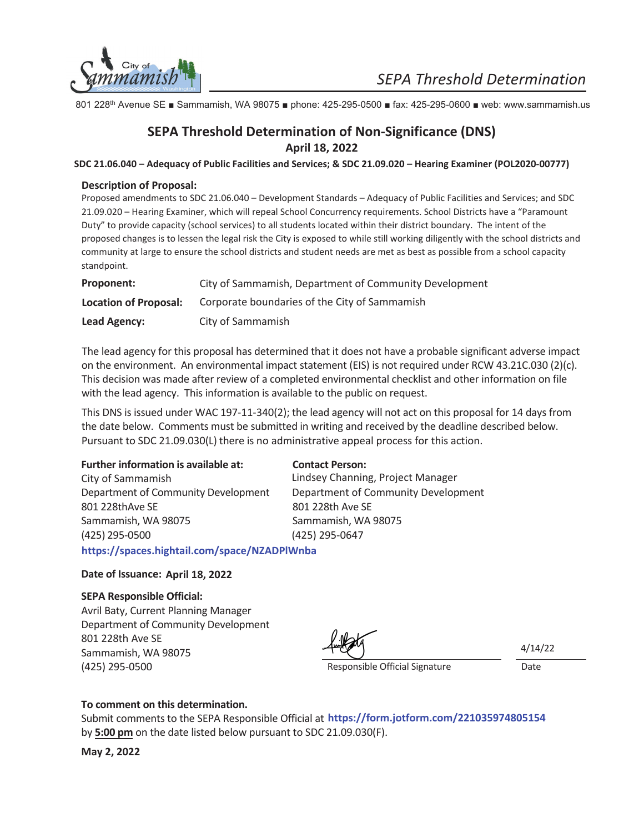

801 228<sup>th</sup> Avenue SE **B** Sammamish, WA 98075 **B** phone: 425-295-0500 **B** fax: 425-295-0600 **B** web: www.sammamish.us

### **April 18, 2022 SEPA Threshold Determination of Non-Significance (DNS)**

**SDC 21.06.040 – Adequacy of Public Facilities and Services; & SDC 21.09.020 – Hearing Examiner (POL2020-00777)**

#### **Description of Proposal:**

Proposed amendments to SDC 21.06.040 – Development Standards – Adequacy of Public Facilities and Services; and SDC 21.09.020 – Hearing Examiner, which will repeal School Concurrency requirements. School Districts have a "Paramount Duty" to provide capacity (school services) to all students located within their district boundary. The intent of the proposed changes is to lessen the legal risk the City is exposed to while still working diligently with the school districts and community at large to ensure the school districts and student needs are met as best as possible from a school capacity standpoint.

| Proponent:            | City of Sammamish, Department of Community Development |
|-----------------------|--------------------------------------------------------|
| Location of Proposal: | Corporate boundaries of the City of Sammamish          |
| Lead Agency:          | City of Sammamish                                      |

The lead agency for this proposal has determined that it does not have a probable significant adverse impact on the environment. An environmental impact statement (EIS) is not required under RCW 43.21C.030 (2)(c). This decision was made after review of a completed environmental checklist and other information on file with the lead agency. This information is available to the public on request.

This DNS is issued under WAC 197-11-340(2); the lead agency will not act on this proposal for 14 days from the date below. Comments must be submitted in writing and received by the deadline described below. Pursuant to SDC 21.09.030(L) there is no administrative appeal process for this action.

| Further information is available at:         | <b>Contact Person:</b>              |  |
|----------------------------------------------|-------------------------------------|--|
| City of Sammamish                            | Lindsey Channing, Project Manager   |  |
| Department of Community Development          | Department of Community Development |  |
| 801 228thAve SE                              | 801 228th Ave SE                    |  |
| Sammamish, WA 98075                          | Sammamish, WA 98075                 |  |
| (425) 295-0500                               | (425) 295-0647                      |  |
| https://spaces.hightail.com/space/NZADPlWnba |                                     |  |

#### Date of Issuance: April 18, 2022

#### **SEPA Responsible Official:**

Avril Baty, Current Planning Manager Department of Community Development 801 228th Ave SE Sammamish, WA 98075 (425) 295-0500 **Date** Date **Responsible Official Signature** Date

4/14/22

#### To comment on this determination.

Submit comments to the SEPA Responsible Official at **https://form.jotform.com/221035974805154** by **5:00 pm** on the date listed below pursuant to SDC 21.09.030(F).

**May 2, 2022**